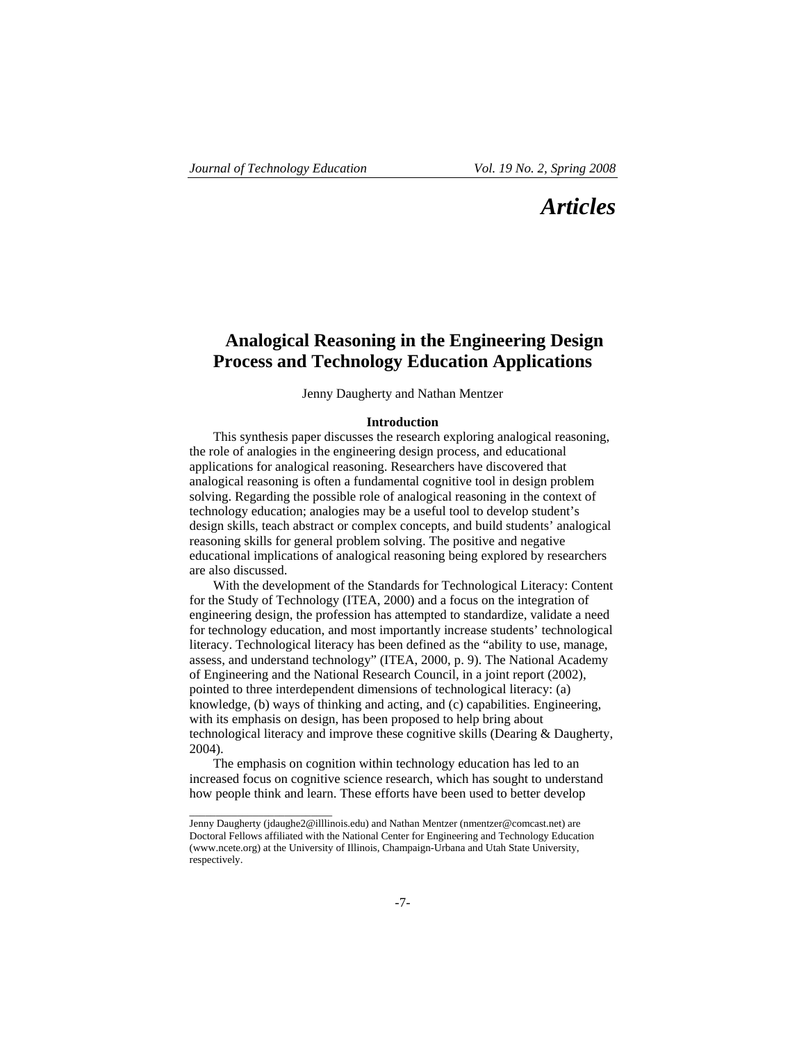# *Articles*

# **Analogical Reasoning in the Engineering Design Process and Technology Education Applications**

Jenny Daugherty and Nathan Mentzer

## **Introduction**

This synthesis paper discusses the research exploring analogical reasoning, the role of analogies in the engineering design process, and educational applications for analogical reasoning. Researchers have discovered that analogical reasoning is often a fundamental cognitive tool in design problem solving. Regarding the possible role of analogical reasoning in the context of technology education; analogies may be a useful tool to develop student's design skills, teach abstract or complex concepts, and build students' analogical reasoning skills for general problem solving. The positive and negative educational implications of analogical reasoning being explored by researchers are also discussed.

With the development of the Standards for Technological Literacy: Content for the Study of Technology (ITEA, 2000) and a focus on the integration of engineering design, the profession has attempted to standardize, validate a need for technology education, and most importantly increase students' technological literacy. Technological literacy has been defined as the "ability to use, manage, assess, and understand technology" (ITEA, 2000, p. 9). The National Academy of Engineering and the National Research Council, in a joint report (2002), pointed to three interdependent dimensions of technological literacy: (a) knowledge, (b) ways of thinking and acting, and (c) capabilities. Engineering, with its emphasis on design, has been proposed to help bring about technological literacy and improve these cognitive skills (Dearing & Daugherty, 2004).

The emphasis on cognition within technology education has led to an increased focus on cognitive science research, which has sought to understand how people think and learn. These efforts have been used to better develop

 $\overline{\phantom{a}}$  , and the set of the set of the set of the set of the set of the set of the set of the set of the set of the set of the set of the set of the set of the set of the set of the set of the set of the set of the s

Jenny Daugherty (jdaughe2@illlinois.edu) and Nathan Mentzer (nmentzer@comcast.net) are Doctoral Fellows affiliated with the National Center for Engineering and Technology Education (www.ncete.org) at the University of Illinois, Champaign-Urbana and Utah State University, respectively.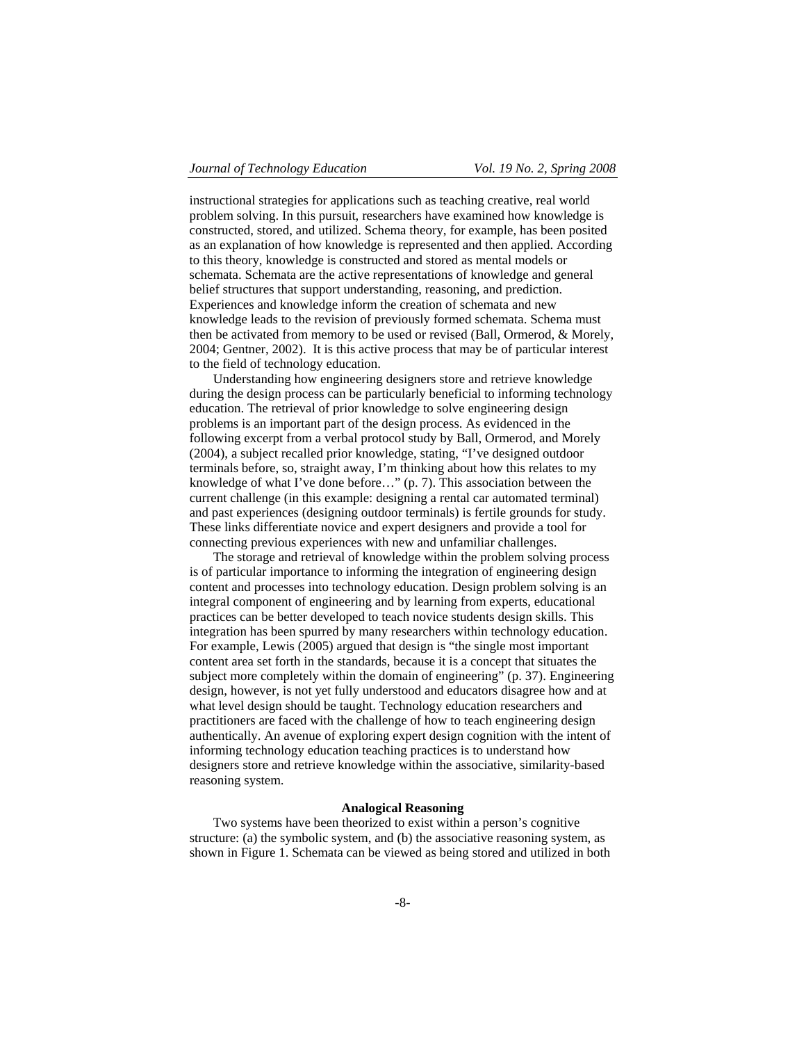instructional strategies for applications such as teaching creative, real world problem solving. In this pursuit, researchers have examined how knowledge is constructed, stored, and utilized. Schema theory, for example, has been posited as an explanation of how knowledge is represented and then applied. According to this theory, knowledge is constructed and stored as mental models or schemata. Schemata are the active representations of knowledge and general belief structures that support understanding, reasoning, and prediction. Experiences and knowledge inform the creation of schemata and new knowledge leads to the revision of previously formed schemata. Schema must then be activated from memory to be used or revised (Ball, Ormerod, & Morely, 2004; Gentner, 2002). It is this active process that may be of particular interest to the field of technology education.

Understanding how engineering designers store and retrieve knowledge during the design process can be particularly beneficial to informing technology education. The retrieval of prior knowledge to solve engineering design problems is an important part of the design process. As evidenced in the following excerpt from a verbal protocol study by Ball, Ormerod, and Morely (2004), a subject recalled prior knowledge, stating, "I've designed outdoor terminals before, so, straight away, I'm thinking about how this relates to my knowledge of what I've done before…" (p. 7). This association between the current challenge (in this example: designing a rental car automated terminal) and past experiences (designing outdoor terminals) is fertile grounds for study. These links differentiate novice and expert designers and provide a tool for connecting previous experiences with new and unfamiliar challenges.

The storage and retrieval of knowledge within the problem solving process is of particular importance to informing the integration of engineering design content and processes into technology education. Design problem solving is an integral component of engineering and by learning from experts, educational practices can be better developed to teach novice students design skills. This integration has been spurred by many researchers within technology education. For example, Lewis (2005) argued that design is "the single most important content area set forth in the standards, because it is a concept that situates the subject more completely within the domain of engineering" (p. 37). Engineering design, however, is not yet fully understood and educators disagree how and at what level design should be taught. Technology education researchers and practitioners are faced with the challenge of how to teach engineering design authentically. An avenue of exploring expert design cognition with the intent of informing technology education teaching practices is to understand how designers store and retrieve knowledge within the associative, similarity-based reasoning system.

#### **Analogical Reasoning**

Two systems have been theorized to exist within a person's cognitive structure: (a) the symbolic system, and (b) the associative reasoning system, as shown in Figure 1. Schemata can be viewed as being stored and utilized in both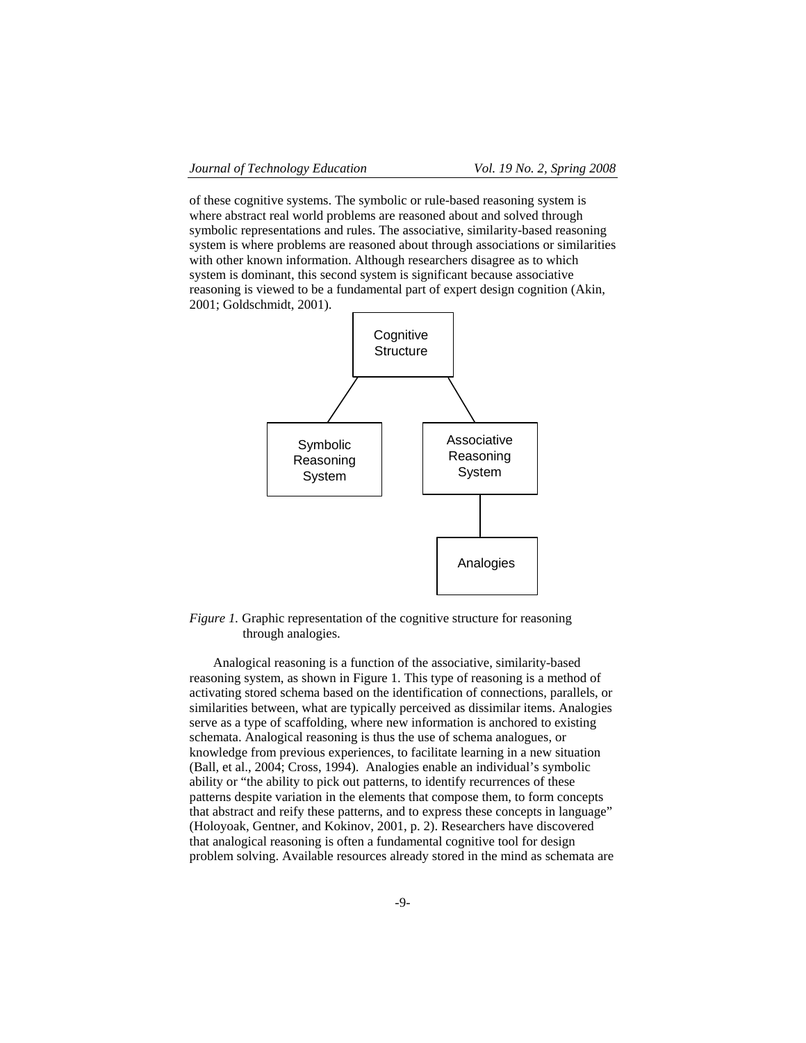of these cognitive systems. The symbolic or rule-based reasoning system is where abstract real world problems are reasoned about and solved through symbolic representations and rules. The associative, similarity-based reasoning system is where problems are reasoned about through associations or similarities with other known information. Although researchers disagree as to which system is dominant, this second system is significant because associative reasoning is viewed to be a fundamental part of expert design cognition (Akin, 2001; Goldschmidt, 2001).



*Figure 1.* Graphic representation of the cognitive structure for reasoning through analogies.

Analogical reasoning is a function of the associative, similarity-based reasoning system, as shown in Figure 1. This type of reasoning is a method of activating stored schema based on the identification of connections, parallels, or similarities between, what are typically perceived as dissimilar items. Analogies serve as a type of scaffolding, where new information is anchored to existing schemata. Analogical reasoning is thus the use of schema analogues, or knowledge from previous experiences, to facilitate learning in a new situation (Ball, et al., 2004; Cross, 1994). Analogies enable an individual's symbolic ability or "the ability to pick out patterns, to identify recurrences of these patterns despite variation in the elements that compose them, to form concepts that abstract and reify these patterns, and to express these concepts in language" (Holoyoak, Gentner, and Kokinov, 2001, p. 2). Researchers have discovered that analogical reasoning is often a fundamental cognitive tool for design problem solving. Available resources already stored in the mind as schemata are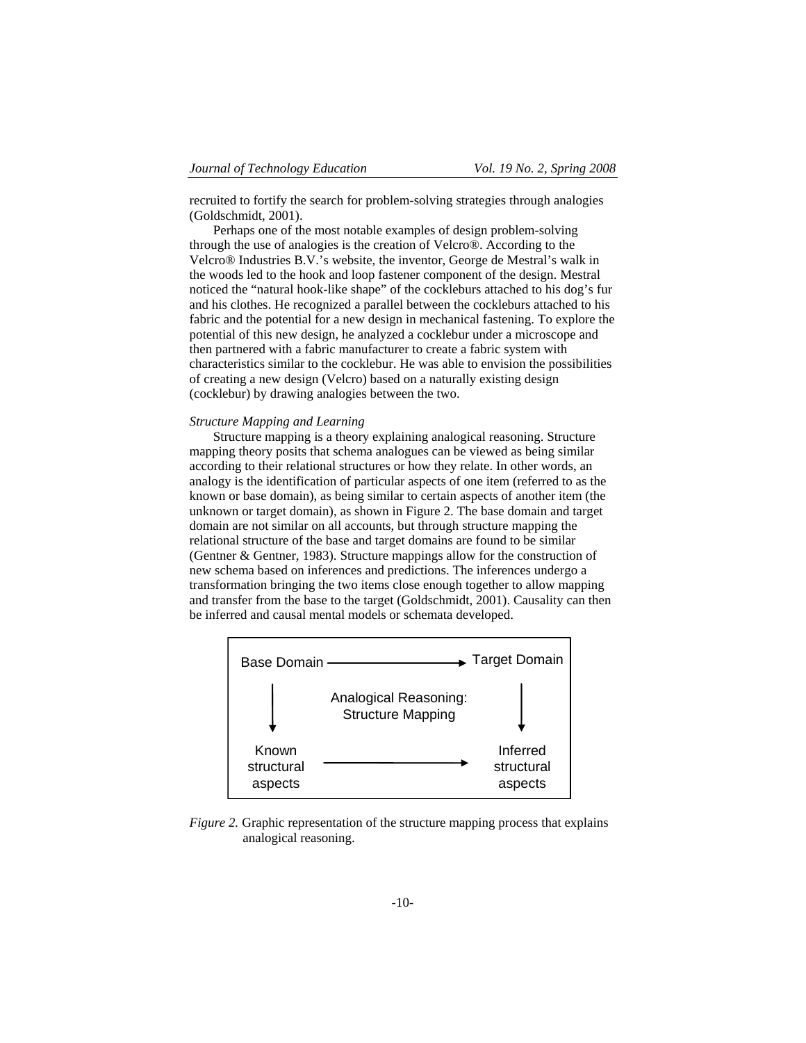recruited to fortify the search for problem-solving strategies through analogies (Goldschmidt, 2001).

Perhaps one of the most notable examples of design problem-solving through the use of analogies is the creation of Velcro®. According to the Velcro® Industries B.V.'s website, the inventor, George de Mestral's walk in the woods led to the hook and loop fastener component of the design. Mestral noticed the "natural hook-like shape" of the cockleburs attached to his dog's fur and his clothes. He recognized a parallel between the cockleburs attached to his fabric and the potential for a new design in mechanical fastening. To explore the potential of this new design, he analyzed a cocklebur under a microscope and then partnered with a fabric manufacturer to create a fabric system with characteristics similar to the cocklebur. He was able to envision the possibilities of creating a new design (Velcro) based on a naturally existing design (cocklebur) by drawing analogies between the two.

# *Structure Mapping and Learning*

Structure mapping is a theory explaining analogical reasoning. Structure mapping theory posits that schema analogues can be viewed as being similar according to their relational structures or how they relate. In other words, an analogy is the identification of particular aspects of one item (referred to as the known or base domain), as being similar to certain aspects of another item (the unknown or target domain), as shown in Figure 2. The base domain and target domain are not similar on all accounts, but through structure mapping the relational structure of the base and target domains are found to be similar (Gentner & Gentner, 1983). Structure mappings allow for the construction of new schema based on inferences and predictions. The inferences undergo a transformation bringing the two items close enough together to allow mapping and transfer from the base to the target (Goldschmidt, 2001). Causality can then be inferred and causal mental models or schemata developed.



*Figure 2.* Graphic representation of the structure mapping process that explains analogical reasoning.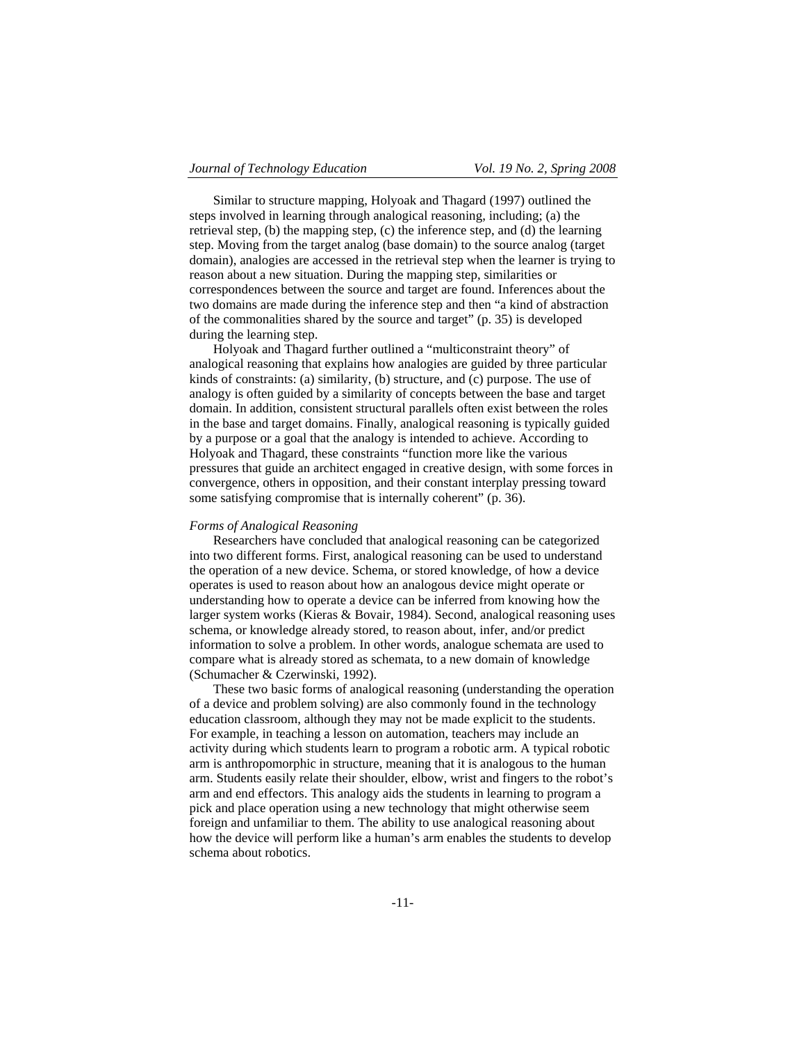Similar to structure mapping, Holyoak and Thagard (1997) outlined the steps involved in learning through analogical reasoning, including; (a) the retrieval step, (b) the mapping step, (c) the inference step, and (d) the learning step. Moving from the target analog (base domain) to the source analog (target domain), analogies are accessed in the retrieval step when the learner is trying to reason about a new situation. During the mapping step, similarities or correspondences between the source and target are found. Inferences about the two domains are made during the inference step and then "a kind of abstraction of the commonalities shared by the source and target" (p. 35) is developed during the learning step.

Holyoak and Thagard further outlined a "multiconstraint theory" of analogical reasoning that explains how analogies are guided by three particular kinds of constraints: (a) similarity, (b) structure, and (c) purpose. The use of analogy is often guided by a similarity of concepts between the base and target domain. In addition, consistent structural parallels often exist between the roles in the base and target domains. Finally, analogical reasoning is typically guided by a purpose or a goal that the analogy is intended to achieve. According to Holyoak and Thagard, these constraints "function more like the various pressures that guide an architect engaged in creative design, with some forces in convergence, others in opposition, and their constant interplay pressing toward some satisfying compromise that is internally coherent" (p. 36).

#### *Forms of Analogical Reasoning*

Researchers have concluded that analogical reasoning can be categorized into two different forms. First, analogical reasoning can be used to understand the operation of a new device. Schema, or stored knowledge, of how a device operates is used to reason about how an analogous device might operate or understanding how to operate a device can be inferred from knowing how the larger system works (Kieras & Bovair, 1984). Second, analogical reasoning uses schema, or knowledge already stored, to reason about, infer, and/or predict information to solve a problem. In other words, analogue schemata are used to compare what is already stored as schemata, to a new domain of knowledge (Schumacher & Czerwinski, 1992).

These two basic forms of analogical reasoning (understanding the operation of a device and problem solving) are also commonly found in the technology education classroom, although they may not be made explicit to the students. For example, in teaching a lesson on automation, teachers may include an activity during which students learn to program a robotic arm. A typical robotic arm is anthropomorphic in structure, meaning that it is analogous to the human arm. Students easily relate their shoulder, elbow, wrist and fingers to the robot's arm and end effectors. This analogy aids the students in learning to program a pick and place operation using a new technology that might otherwise seem foreign and unfamiliar to them. The ability to use analogical reasoning about how the device will perform like a human's arm enables the students to develop schema about robotics.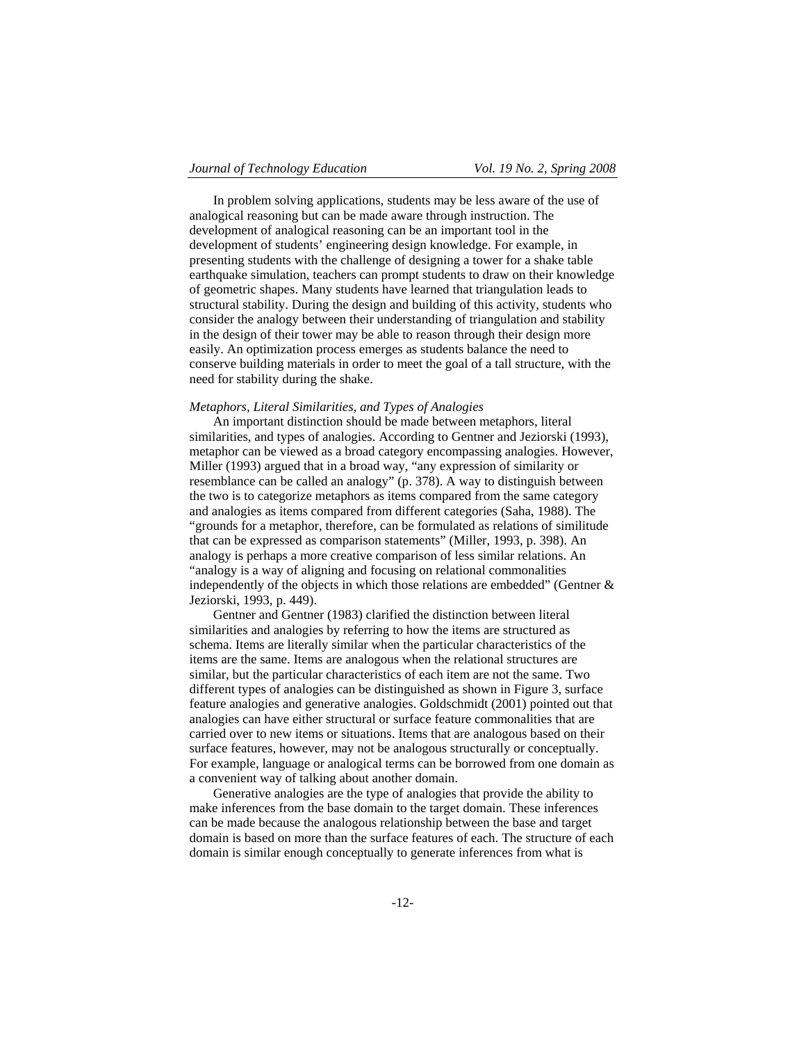In problem solving applications, students may be less aware of the use of analogical reasoning but can be made aware through instruction. The development of analogical reasoning can be an important tool in the development of students' engineering design knowledge. For example, in presenting students with the challenge of designing a tower for a shake table earthquake simulation, teachers can prompt students to draw on their knowledge of geometric shapes. Many students have learned that triangulation leads to structural stability. During the design and building of this activity, students who consider the analogy between their understanding of triangulation and stability in the design of their tower may be able to reason through their design more easily. An optimization process emerges as students balance the need to conserve building materials in order to meet the goal of a tall structure, with the need for stability during the shake.

# *Metaphors, Literal Similarities, and Types of Analogies*

An important distinction should be made between metaphors, literal similarities, and types of analogies. According to Gentner and Jeziorski (1993), metaphor can be viewed as a broad category encompassing analogies. However, Miller (1993) argued that in a broad way, "any expression of similarity or resemblance can be called an analogy" (p. 378). A way to distinguish between the two is to categorize metaphors as items compared from the same category and analogies as items compared from different categories (Saha, 1988). The "grounds for a metaphor, therefore, can be formulated as relations of similitude that can be expressed as comparison statements" (Miller, 1993, p. 398). An analogy is perhaps a more creative comparison of less similar relations. An "analogy is a way of aligning and focusing on relational commonalities independently of the objects in which those relations are embedded" (Gentner & Jeziorski, 1993, p. 449).

Gentner and Gentner (1983) clarified the distinction between literal similarities and analogies by referring to how the items are structured as schema. Items are literally similar when the particular characteristics of the items are the same. Items are analogous when the relational structures are similar, but the particular characteristics of each item are not the same. Two different types of analogies can be distinguished as shown in Figure 3, surface feature analogies and generative analogies. Goldschmidt (2001) pointed out that analogies can have either structural or surface feature commonalities that are carried over to new items or situations. Items that are analogous based on their surface features, however, may not be analogous structurally or conceptually. For example, language or analogical terms can be borrowed from one domain as a convenient way of talking about another domain.

Generative analogies are the type of analogies that provide the ability to make inferences from the base domain to the target domain. These inferences can be made because the analogous relationship between the base and target domain is based on more than the surface features of each. The structure of each domain is similar enough conceptually to generate inferences from what is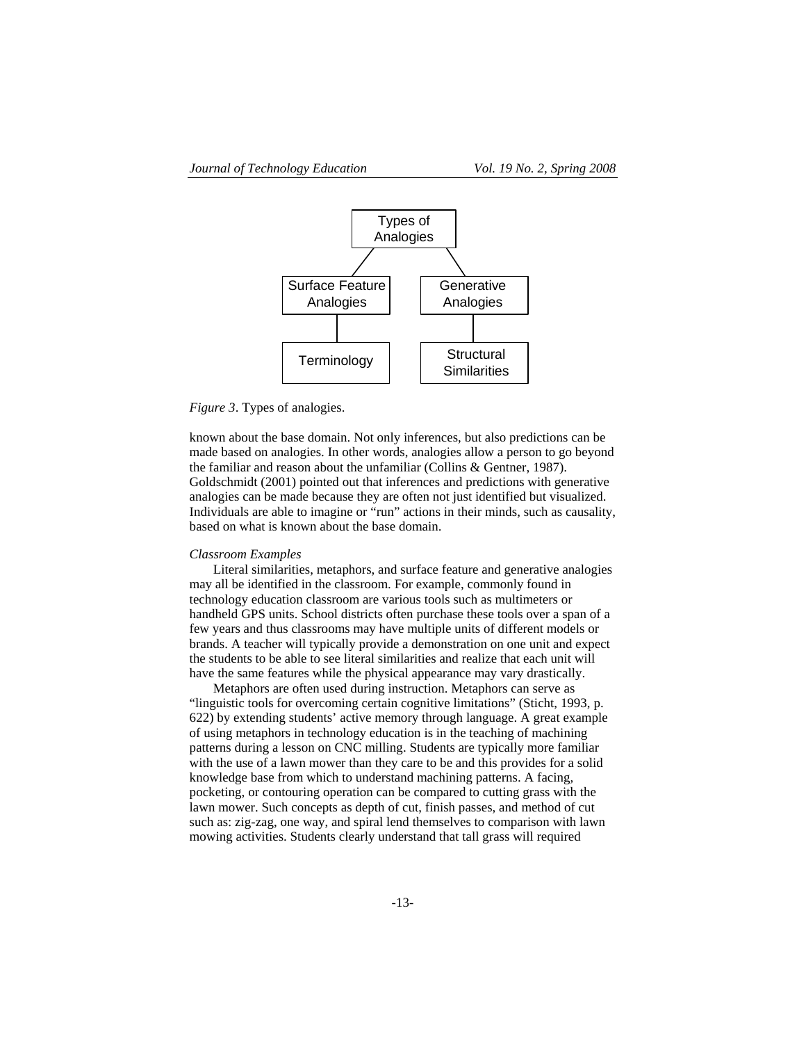

# *Figure 3*. Types of analogies.

known about the base domain. Not only inferences, but also predictions can be made based on analogies. In other words, analogies allow a person to go beyond the familiar and reason about the unfamiliar (Collins & Gentner, 1987). Goldschmidt (2001) pointed out that inferences and predictions with generative analogies can be made because they are often not just identified but visualized. Individuals are able to imagine or "run" actions in their minds, such as causality, based on what is known about the base domain.

#### *Classroom Examples*

Literal similarities, metaphors, and surface feature and generative analogies may all be identified in the classroom. For example, commonly found in technology education classroom are various tools such as multimeters or handheld GPS units. School districts often purchase these tools over a span of a few years and thus classrooms may have multiple units of different models or brands. A teacher will typically provide a demonstration on one unit and expect the students to be able to see literal similarities and realize that each unit will have the same features while the physical appearance may vary drastically.

Metaphors are often used during instruction. Metaphors can serve as "linguistic tools for overcoming certain cognitive limitations" (Sticht, 1993, p. 622) by extending students' active memory through language. A great example of using metaphors in technology education is in the teaching of machining patterns during a lesson on CNC milling. Students are typically more familiar with the use of a lawn mower than they care to be and this provides for a solid knowledge base from which to understand machining patterns. A facing, pocketing, or contouring operation can be compared to cutting grass with the lawn mower. Such concepts as depth of cut, finish passes, and method of cut such as: zig-zag, one way, and spiral lend themselves to comparison with lawn mowing activities. Students clearly understand that tall grass will required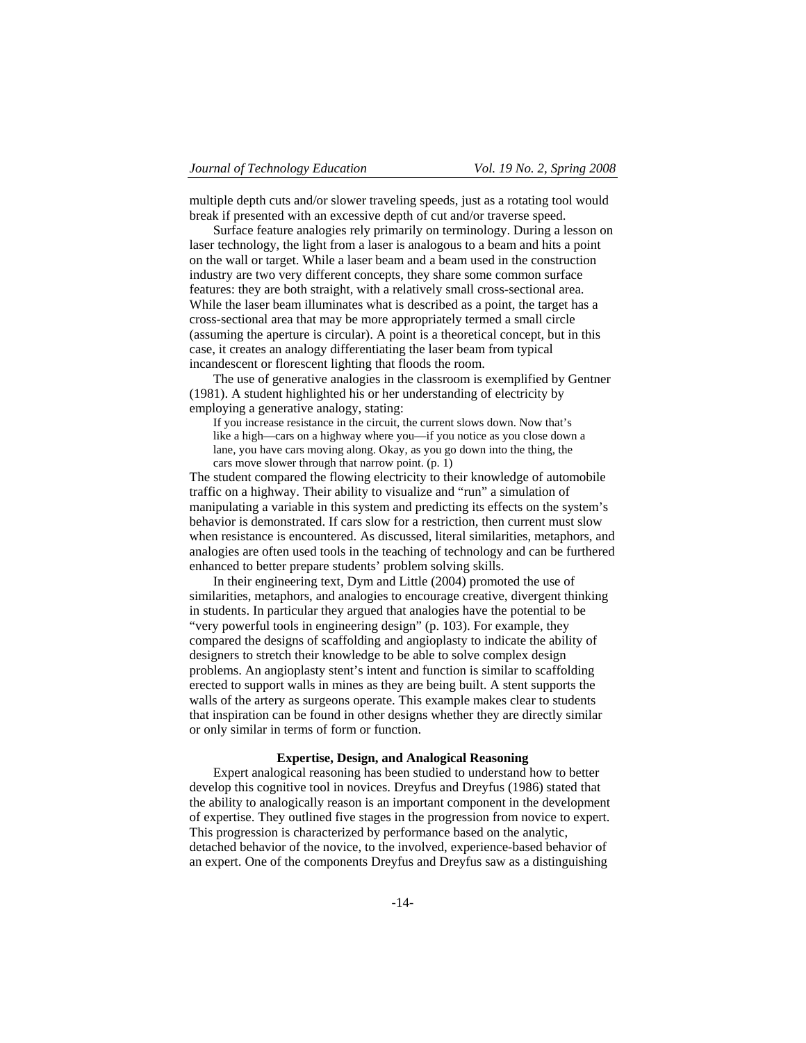multiple depth cuts and/or slower traveling speeds, just as a rotating tool would break if presented with an excessive depth of cut and/or traverse speed.

Surface feature analogies rely primarily on terminology. During a lesson on laser technology, the light from a laser is analogous to a beam and hits a point on the wall or target. While a laser beam and a beam used in the construction industry are two very different concepts, they share some common surface features: they are both straight, with a relatively small cross-sectional area. While the laser beam illuminates what is described as a point, the target has a cross-sectional area that may be more appropriately termed a small circle (assuming the aperture is circular). A point is a theoretical concept, but in this case, it creates an analogy differentiating the laser beam from typical incandescent or florescent lighting that floods the room.

The use of generative analogies in the classroom is exemplified by Gentner (1981). A student highlighted his or her understanding of electricity by employing a generative analogy, stating:

If you increase resistance in the circuit, the current slows down. Now that's like a high—cars on a highway where you—if you notice as you close down a lane, you have cars moving along. Okay, as you go down into the thing, the cars move slower through that narrow point. (p. 1)

The student compared the flowing electricity to their knowledge of automobile traffic on a highway. Their ability to visualize and "run" a simulation of manipulating a variable in this system and predicting its effects on the system's behavior is demonstrated. If cars slow for a restriction, then current must slow when resistance is encountered. As discussed, literal similarities, metaphors, and analogies are often used tools in the teaching of technology and can be furthered enhanced to better prepare students' problem solving skills.

In their engineering text, Dym and Little (2004) promoted the use of similarities, metaphors, and analogies to encourage creative, divergent thinking in students. In particular they argued that analogies have the potential to be "very powerful tools in engineering design" (p. 103). For example, they compared the designs of scaffolding and angioplasty to indicate the ability of designers to stretch their knowledge to be able to solve complex design problems. An angioplasty stent's intent and function is similar to scaffolding erected to support walls in mines as they are being built. A stent supports the walls of the artery as surgeons operate. This example makes clear to students that inspiration can be found in other designs whether they are directly similar or only similar in terms of form or function.

#### **Expertise, Design, and Analogical Reasoning**

Expert analogical reasoning has been studied to understand how to better develop this cognitive tool in novices. Dreyfus and Dreyfus (1986) stated that the ability to analogically reason is an important component in the development of expertise. They outlined five stages in the progression from novice to expert. This progression is characterized by performance based on the analytic, detached behavior of the novice, to the involved, experience-based behavior of an expert. One of the components Dreyfus and Dreyfus saw as a distinguishing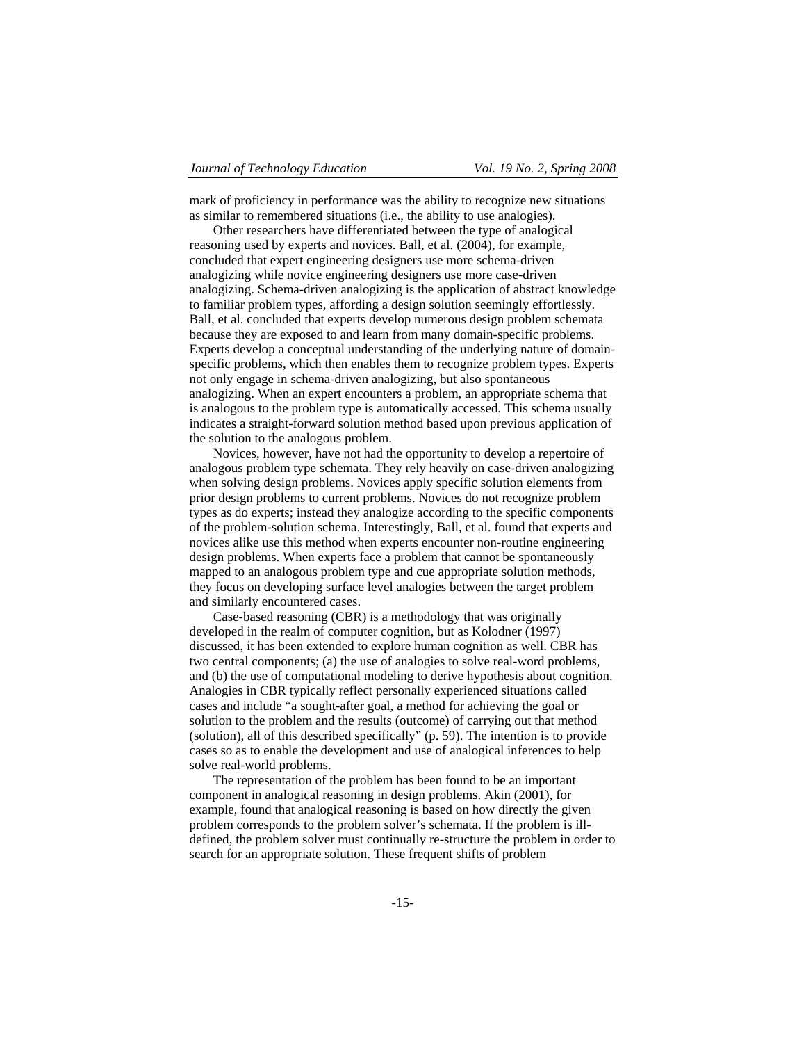mark of proficiency in performance was the ability to recognize new situations as similar to remembered situations (i.e., the ability to use analogies).

Other researchers have differentiated between the type of analogical reasoning used by experts and novices. Ball, et al. (2004), for example, concluded that expert engineering designers use more schema-driven analogizing while novice engineering designers use more case-driven analogizing. Schema-driven analogizing is the application of abstract knowledge to familiar problem types, affording a design solution seemingly effortlessly. Ball, et al. concluded that experts develop numerous design problem schemata because they are exposed to and learn from many domain-specific problems. Experts develop a conceptual understanding of the underlying nature of domainspecific problems, which then enables them to recognize problem types. Experts not only engage in schema-driven analogizing, but also spontaneous analogizing. When an expert encounters a problem, an appropriate schema that is analogous to the problem type is automatically accessed. This schema usually indicates a straight-forward solution method based upon previous application of the solution to the analogous problem.

Novices, however, have not had the opportunity to develop a repertoire of analogous problem type schemata. They rely heavily on case-driven analogizing when solving design problems. Novices apply specific solution elements from prior design problems to current problems. Novices do not recognize problem types as do experts; instead they analogize according to the specific components of the problem-solution schema. Interestingly, Ball, et al. found that experts and novices alike use this method when experts encounter non-routine engineering design problems. When experts face a problem that cannot be spontaneously mapped to an analogous problem type and cue appropriate solution methods, they focus on developing surface level analogies between the target problem and similarly encountered cases.

Case-based reasoning (CBR) is a methodology that was originally developed in the realm of computer cognition, but as Kolodner (1997) discussed, it has been extended to explore human cognition as well. CBR has two central components; (a) the use of analogies to solve real-word problems, and (b) the use of computational modeling to derive hypothesis about cognition. Analogies in CBR typically reflect personally experienced situations called cases and include "a sought-after goal, a method for achieving the goal or solution to the problem and the results (outcome) of carrying out that method (solution), all of this described specifically" (p. 59). The intention is to provide cases so as to enable the development and use of analogical inferences to help solve real-world problems.

The representation of the problem has been found to be an important component in analogical reasoning in design problems. Akin (2001), for example, found that analogical reasoning is based on how directly the given problem corresponds to the problem solver's schemata. If the problem is illdefined, the problem solver must continually re-structure the problem in order to search for an appropriate solution. These frequent shifts of problem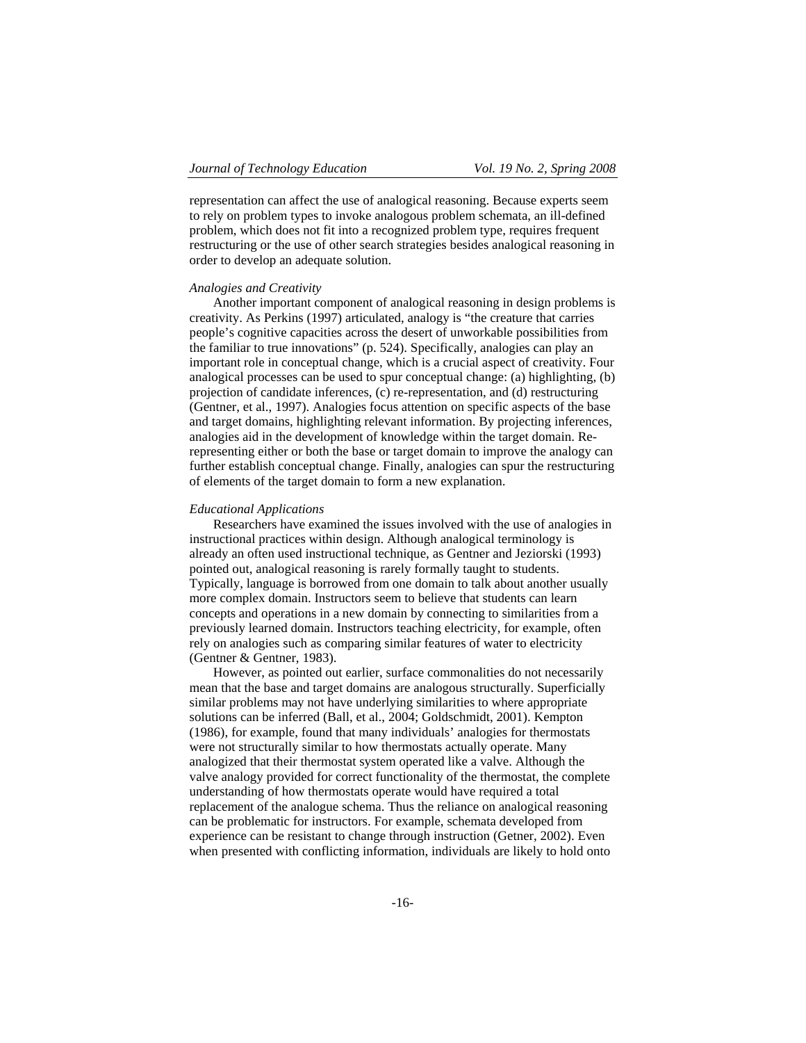representation can affect the use of analogical reasoning. Because experts seem to rely on problem types to invoke analogous problem schemata, an ill-defined problem, which does not fit into a recognized problem type, requires frequent restructuring or the use of other search strategies besides analogical reasoning in order to develop an adequate solution.

# *Analogies and Creativity*

Another important component of analogical reasoning in design problems is creativity. As Perkins (1997) articulated, analogy is "the creature that carries people's cognitive capacities across the desert of unworkable possibilities from the familiar to true innovations" (p. 524). Specifically, analogies can play an important role in conceptual change, which is a crucial aspect of creativity. Four analogical processes can be used to spur conceptual change: (a) highlighting, (b) projection of candidate inferences, (c) re-representation, and (d) restructuring (Gentner, et al., 1997). Analogies focus attention on specific aspects of the base and target domains, highlighting relevant information. By projecting inferences, analogies aid in the development of knowledge within the target domain. Rerepresenting either or both the base or target domain to improve the analogy can further establish conceptual change. Finally, analogies can spur the restructuring of elements of the target domain to form a new explanation.

# *Educational Applications*

Researchers have examined the issues involved with the use of analogies in instructional practices within design. Although analogical terminology is already an often used instructional technique, as Gentner and Jeziorski (1993) pointed out, analogical reasoning is rarely formally taught to students. Typically, language is borrowed from one domain to talk about another usually more complex domain. Instructors seem to believe that students can learn concepts and operations in a new domain by connecting to similarities from a previously learned domain. Instructors teaching electricity, for example, often rely on analogies such as comparing similar features of water to electricity (Gentner & Gentner, 1983).

However, as pointed out earlier, surface commonalities do not necessarily mean that the base and target domains are analogous structurally. Superficially similar problems may not have underlying similarities to where appropriate solutions can be inferred (Ball, et al., 2004; Goldschmidt, 2001). Kempton (1986), for example, found that many individuals' analogies for thermostats were not structurally similar to how thermostats actually operate. Many analogized that their thermostat system operated like a valve. Although the valve analogy provided for correct functionality of the thermostat, the complete understanding of how thermostats operate would have required a total replacement of the analogue schema. Thus the reliance on analogical reasoning can be problematic for instructors. For example, schemata developed from experience can be resistant to change through instruction (Getner, 2002). Even when presented with conflicting information, individuals are likely to hold onto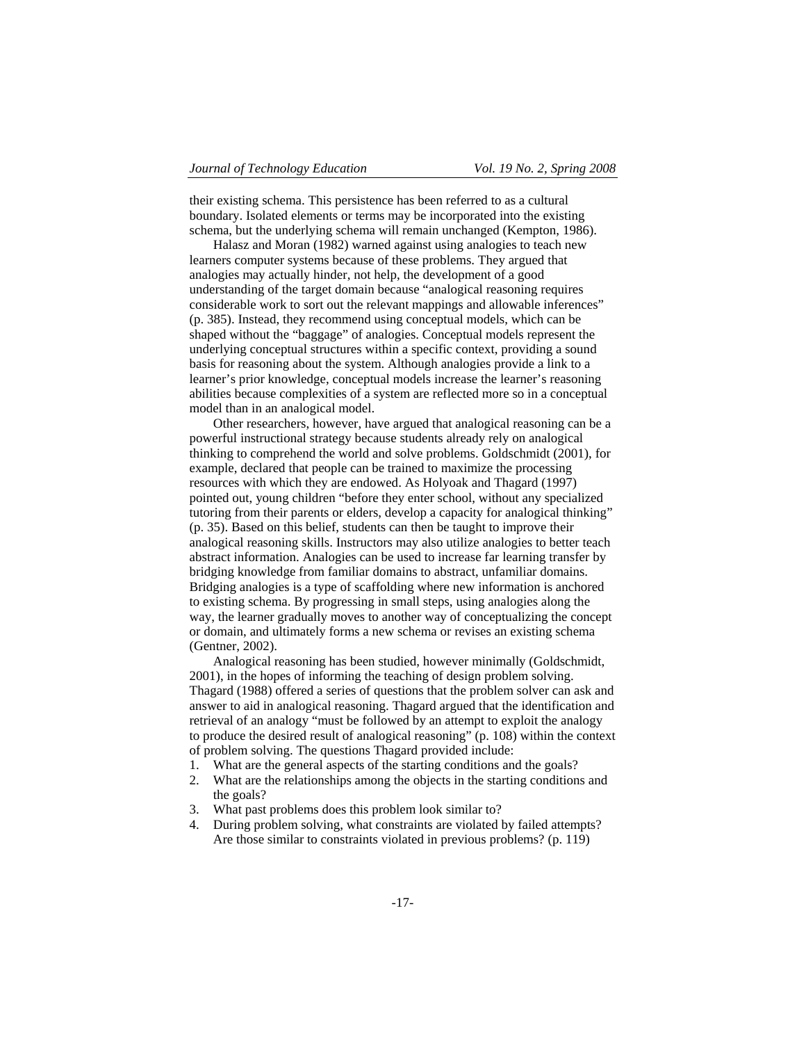their existing schema. This persistence has been referred to as a cultural boundary. Isolated elements or terms may be incorporated into the existing schema, but the underlying schema will remain unchanged (Kempton, 1986).

Halasz and Moran (1982) warned against using analogies to teach new learners computer systems because of these problems. They argued that analogies may actually hinder, not help, the development of a good understanding of the target domain because "analogical reasoning requires considerable work to sort out the relevant mappings and allowable inferences" (p. 385). Instead, they recommend using conceptual models, which can be shaped without the "baggage" of analogies. Conceptual models represent the underlying conceptual structures within a specific context, providing a sound basis for reasoning about the system. Although analogies provide a link to a learner's prior knowledge, conceptual models increase the learner's reasoning abilities because complexities of a system are reflected more so in a conceptual model than in an analogical model.

Other researchers, however, have argued that analogical reasoning can be a powerful instructional strategy because students already rely on analogical thinking to comprehend the world and solve problems. Goldschmidt (2001), for example, declared that people can be trained to maximize the processing resources with which they are endowed. As Holyoak and Thagard (1997) pointed out, young children "before they enter school, without any specialized tutoring from their parents or elders, develop a capacity for analogical thinking" (p. 35). Based on this belief, students can then be taught to improve their analogical reasoning skills. Instructors may also utilize analogies to better teach abstract information. Analogies can be used to increase far learning transfer by bridging knowledge from familiar domains to abstract, unfamiliar domains. Bridging analogies is a type of scaffolding where new information is anchored to existing schema. By progressing in small steps, using analogies along the way, the learner gradually moves to another way of conceptualizing the concept or domain, and ultimately forms a new schema or revises an existing schema (Gentner, 2002).

Analogical reasoning has been studied, however minimally (Goldschmidt, 2001), in the hopes of informing the teaching of design problem solving. Thagard (1988) offered a series of questions that the problem solver can ask and answer to aid in analogical reasoning. Thagard argued that the identification and retrieval of an analogy "must be followed by an attempt to exploit the analogy to produce the desired result of analogical reasoning" (p. 108) within the context of problem solving. The questions Thagard provided include:

- 1. What are the general aspects of the starting conditions and the goals?
- 2. What are the relationships among the objects in the starting conditions and the goals?
- 3. What past problems does this problem look similar to?
- 4. During problem solving, what constraints are violated by failed attempts? Are those similar to constraints violated in previous problems? (p. 119)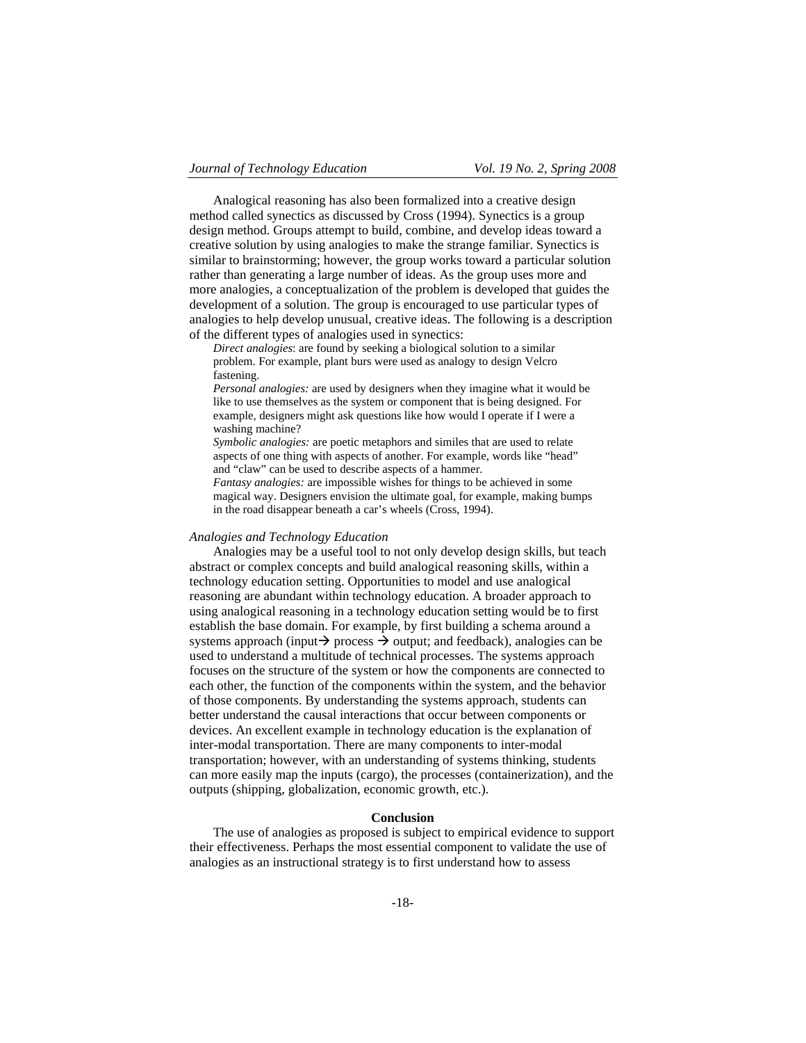Analogical reasoning has also been formalized into a creative design method called synectics as discussed by Cross (1994). Synectics is a group design method. Groups attempt to build, combine, and develop ideas toward a creative solution by using analogies to make the strange familiar. Synectics is similar to brainstorming; however, the group works toward a particular solution rather than generating a large number of ideas. As the group uses more and more analogies, a conceptualization of the problem is developed that guides the development of a solution. The group is encouraged to use particular types of analogies to help develop unusual, creative ideas. The following is a description of the different types of analogies used in synectics:

*Direct analogies*: are found by seeking a biological solution to a similar problem. For example, plant burs were used as analogy to design Velcro fastening.

*Personal analogies:* are used by designers when they imagine what it would be like to use themselves as the system or component that is being designed. For example, designers might ask questions like how would I operate if I were a washing machine?

*Symbolic analogies:* are poetic metaphors and similes that are used to relate aspects of one thing with aspects of another. For example, words like "head" and "claw" can be used to describe aspects of a hammer.

*Fantasy analogies:* are impossible wishes for things to be achieved in some magical way. Designers envision the ultimate goal, for example, making bumps in the road disappear beneath a car's wheels (Cross, 1994).

#### *Analogies and Technology Education*

Analogies may be a useful tool to not only develop design skills, but teach abstract or complex concepts and build analogical reasoning skills, within a technology education setting. Opportunities to model and use analogical reasoning are abundant within technology education. A broader approach to using analogical reasoning in a technology education setting would be to first establish the base domain. For example, by first building a schema around a systems approach (input $\rightarrow$  process  $\rightarrow$  output; and feedback), analogies can be used to understand a multitude of technical processes. The systems approach focuses on the structure of the system or how the components are connected to each other, the function of the components within the system, and the behavior of those components. By understanding the systems approach, students can better understand the causal interactions that occur between components or devices. An excellent example in technology education is the explanation of inter-modal transportation. There are many components to inter-modal transportation; however, with an understanding of systems thinking, students can more easily map the inputs (cargo), the processes (containerization), and the outputs (shipping, globalization, economic growth, etc.).

# **Conclusion**

The use of analogies as proposed is subject to empirical evidence to support their effectiveness. Perhaps the most essential component to validate the use of analogies as an instructional strategy is to first understand how to assess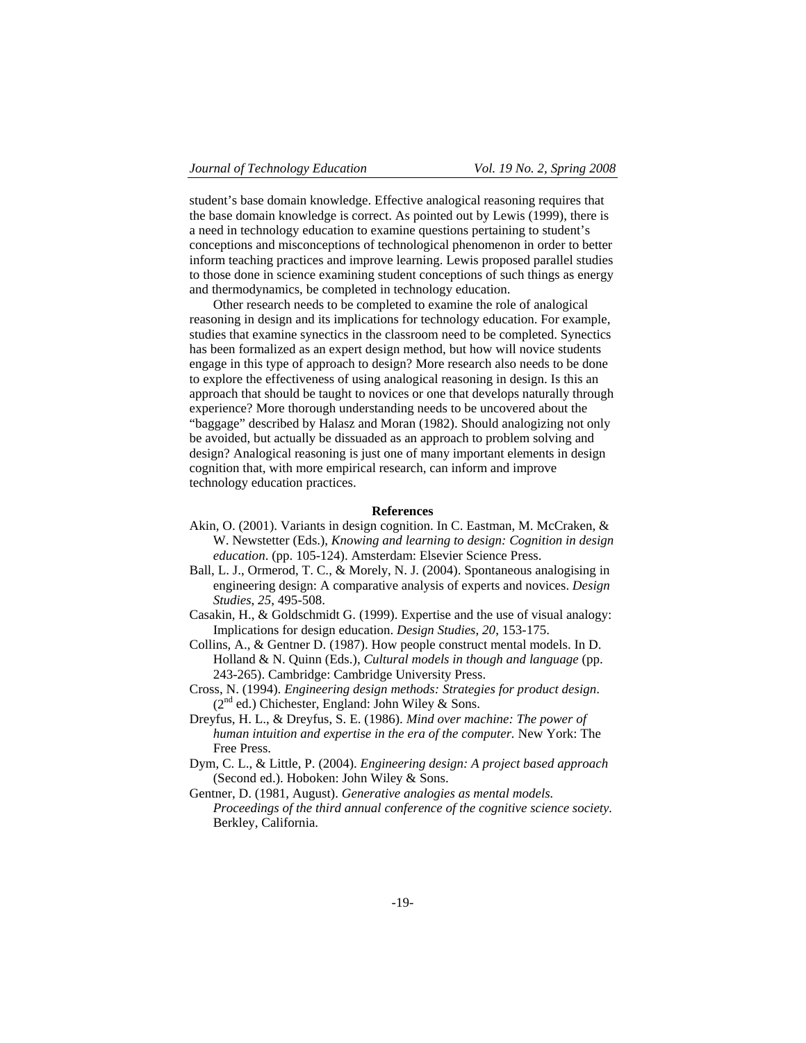student's base domain knowledge. Effective analogical reasoning requires that the base domain knowledge is correct. As pointed out by Lewis (1999), there is a need in technology education to examine questions pertaining to student's conceptions and misconceptions of technological phenomenon in order to better inform teaching practices and improve learning. Lewis proposed parallel studies to those done in science examining student conceptions of such things as energy and thermodynamics, be completed in technology education.

Other research needs to be completed to examine the role of analogical reasoning in design and its implications for technology education. For example, studies that examine synectics in the classroom need to be completed. Synectics has been formalized as an expert design method, but how will novice students engage in this type of approach to design? More research also needs to be done to explore the effectiveness of using analogical reasoning in design. Is this an approach that should be taught to novices or one that develops naturally through experience? More thorough understanding needs to be uncovered about the "baggage" described by Halasz and Moran (1982). Should analogizing not only be avoided, but actually be dissuaded as an approach to problem solving and design? Analogical reasoning is just one of many important elements in design cognition that, with more empirical research, can inform and improve technology education practices.

#### **References**

- Akin, O. (2001). Variants in design cognition. In C. Eastman, M. McCraken, & W. Newstetter (Eds.), *Knowing and learning to design: Cognition in design education*. (pp. 105-124). Amsterdam: Elsevier Science Press.
- Ball, L. J., Ormerod, T. C., & Morely, N. J. (2004). Spontaneous analogising in engineering design: A comparative analysis of experts and novices. *Design Studies*, *25*, 495-508.
- Casakin, H., & Goldschmidt G. (1999). Expertise and the use of visual analogy: Implications for design education. *Design Studies*, *20*, 153-175.
- Collins, A., & Gentner D. (1987). How people construct mental models. In D. Holland & N. Quinn (Eds.), *Cultural models in though and language* (pp. 243-265). Cambridge: Cambridge University Press.
- Cross, N. (1994). *Engineering design methods: Strategies for product design*.  $(2^{nd}$  ed.) Chichester, England: John Wiley & Sons.
- Dreyfus, H. L., & Dreyfus, S. E. (1986). *Mind over machine: The power of human intuition and expertise in the era of the computer.* New York: The Free Press.
- Dym, C. L., & Little, P. (2004). *Engineering design: A project based approach* (Second ed.). Hoboken: John Wiley & Sons.
- Gentner, D. (1981, August). *Generative analogies as mental models. Proceedings of the third annual conference of the cognitive science society.* Berkley, California.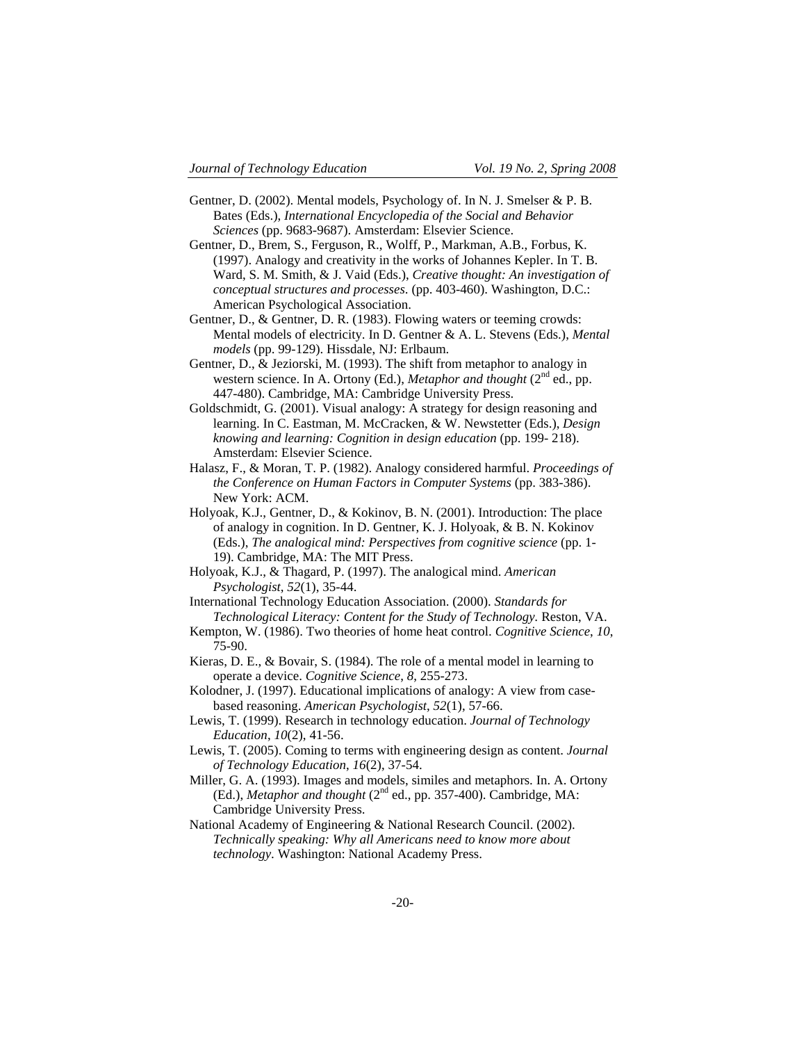- Gentner, D. (2002). Mental models, Psychology of. In N. J. Smelser & P. B. Bates (Eds.), *International Encyclopedia of the Social and Behavior Sciences* (pp. 9683-9687). Amsterdam: Elsevier Science.
- Gentner, D., Brem, S., Ferguson, R., Wolff, P., Markman, A.B., Forbus, K. (1997). Analogy and creativity in the works of Johannes Kepler. In T. B. Ward, S. M. Smith, & J. Vaid (Eds.), *Creative thought: An investigation of conceptual structures and processes*. (pp. 403-460). Washington, D.C.: American Psychological Association.
- Gentner, D., & Gentner, D. R. (1983). Flowing waters or teeming crowds: Mental models of electricity. In D. Gentner & A. L. Stevens (Eds.), *Mental models* (pp. 99-129). Hissdale, NJ: Erlbaum.
- Gentner, D., & Jeziorski, M. (1993). The shift from metaphor to analogy in western science. In A. Ortony (Ed.), *Metaphor and thought* ( $2<sup>nd</sup>$  ed., pp. 447-480). Cambridge, MA: Cambridge University Press.
- Goldschmidt, G. (2001). Visual analogy: A strategy for design reasoning and learning. In C. Eastman, M. McCracken, & W. Newstetter (Eds.), *Design knowing and learning: Cognition in design education* (pp. 199- 218). Amsterdam: Elsevier Science.
- Halasz, F., & Moran, T. P. (1982). Analogy considered harmful. *Proceedings of the Conference on Human Factors in Computer Systems* (pp. 383-386). New York: ACM.
- Holyoak, K.J., Gentner, D., & Kokinov, B. N. (2001). Introduction: The place of analogy in cognition. In D. Gentner, K. J. Holyoak, & B. N. Kokinov (Eds.), *The analogical mind: Perspectives from cognitive science* (pp. 1- 19). Cambridge, MA: The MIT Press.
- Holyoak, K.J., & Thagard, P. (1997). The analogical mind. *American Psychologist*, *52*(1), 35-44.
- International Technology Education Association. (2000). *Standards for Technological Literacy: Content for the Study of Technology.* Reston, VA.
- Kempton, W. (1986). Two theories of home heat control. *Cognitive Science*, *10*, 75-90.
- Kieras, D. E., & Bovair, S. (1984). The role of a mental model in learning to operate a device. *Cognitive Science*, *8*, 255-273.
- Kolodner, J. (1997). Educational implications of analogy: A view from casebased reasoning. *American Psychologist*, *52*(1), 57-66.
- Lewis, T. (1999). Research in technology education. *Journal of Technology Education*, *10*(2), 41-56.
- Lewis, T. (2005). Coming to terms with engineering design as content. *Journal of Technology Education*, *16*(2), 37-54.
- Miller, G. A. (1993). Images and models, similes and metaphors. In. A. Ortony (Ed.), *Metaphor and thought* (2<sup>nd</sup> ed., pp. 357-400). Cambridge, MA: Cambridge University Press.
- National Academy of Engineering & National Research Council. (2002). *Technically speaking: Why all Americans need to know more about technology*. Washington: National Academy Press.